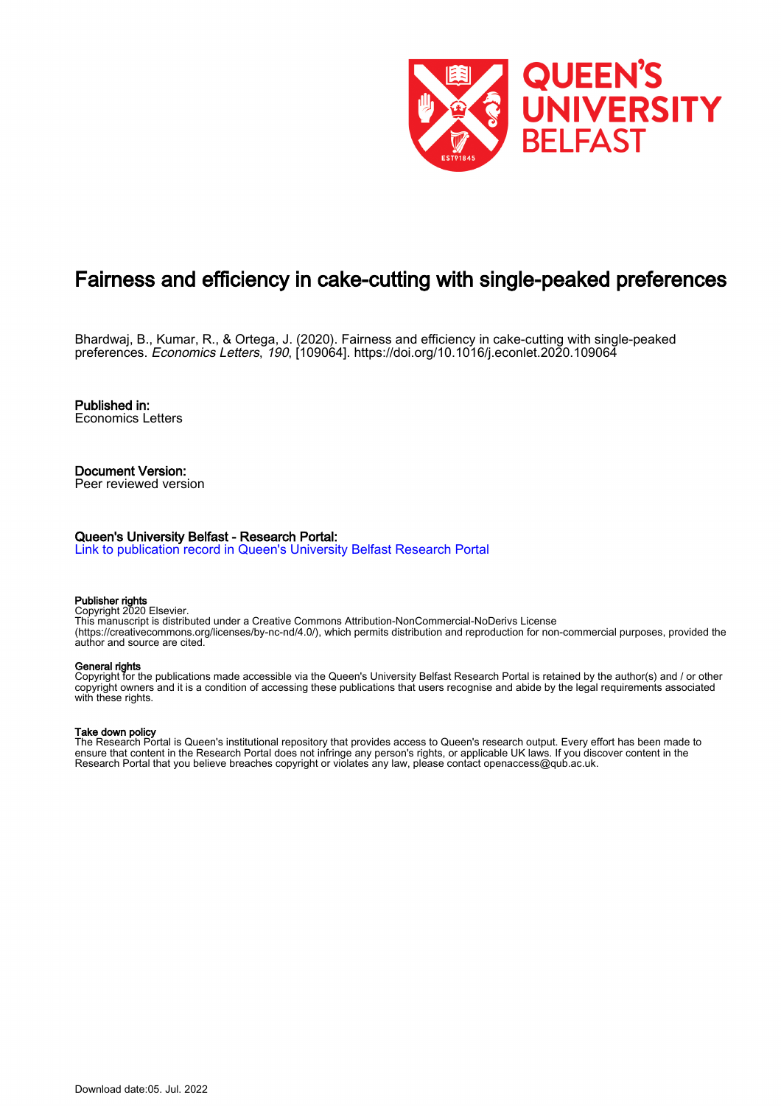

# Fairness and efficiency in cake-cutting with single-peaked preferences

Bhardwaj, B., Kumar, R., & Ortega, J. (2020). Fairness and efficiency in cake-cutting with single-peaked preferences. Economics Letters, 190, [109064]. <https://doi.org/10.1016/j.econlet.2020.109064>

Published in: Economics Letters

Document Version: Peer reviewed version

#### Queen's University Belfast - Research Portal:

[Link to publication record in Queen's University Belfast Research Portal](https://pure.qub.ac.uk/en/publications/fc579939-8061-4ff3-85fb-9c08c8b1d93a)

#### Publisher rights

Copyright 2020 Elsevier. This manuscript is distributed under a Creative Commons Attribution-NonCommercial-NoDerivs License (https://creativecommons.org/licenses/by-nc-nd/4.0/), which permits distribution and reproduction for non-commercial purposes, provided the author and source are cited.

#### General rights

Copyright for the publications made accessible via the Queen's University Belfast Research Portal is retained by the author(s) and / or other copyright owners and it is a condition of accessing these publications that users recognise and abide by the legal requirements associated with these rights.

#### Take down policy

The Research Portal is Queen's institutional repository that provides access to Queen's research output. Every effort has been made to ensure that content in the Research Portal does not infringe any person's rights, or applicable UK laws. If you discover content in the Research Portal that you believe breaches copyright or violates any law, please contact openaccess@qub.ac.uk.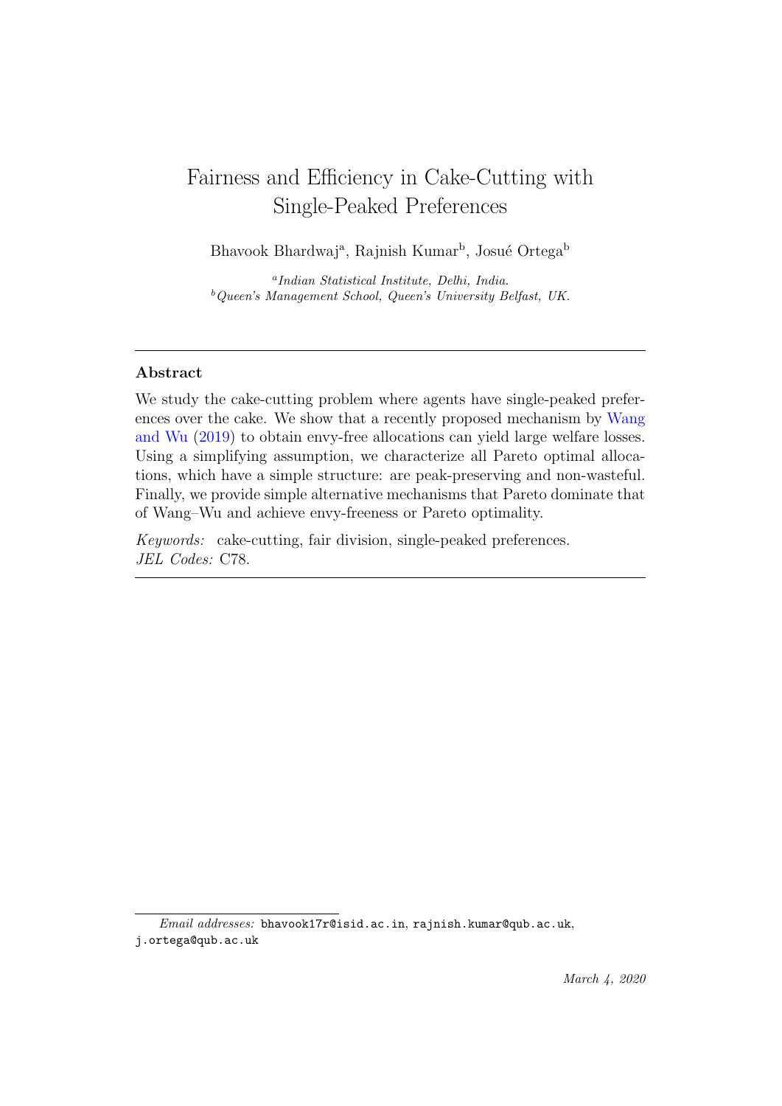# Fairness and Efficiency in Cake-Cutting with Single-Peaked Preferences

Bhavook Bhardwaj<sup>a</sup>, Rajnish Kumar<sup>b</sup>, Josué Ortega<sup>b</sup>

a Indian Statistical Institute, Delhi, India.  $b$ Queen's Management School, Queen's University Belfast, UK.

## Abstract

We study the cake-cutting problem where agents have single-peaked preferences over the cake. We show that a recently proposed mechanism by [Wang](#page-12-0) [and Wu](#page-12-0) [\(2019\)](#page-12-0) to obtain envy-free allocations can yield large welfare losses. Using a simplifying assumption, we characterize all Pareto optimal allocations, which have a simple structure: are peak-preserving and non-wasteful. Finally, we provide simple alternative mechanisms that Pareto dominate that of Wang–Wu and achieve envy-freeness or Pareto optimality.

Keywords: cake-cutting, fair division, single-peaked preferences. JEL Codes: C78.

Email addresses: bhavook17r@isid.ac.in, rajnish.kumar@qub.ac.uk, j.ortega@qub.ac.uk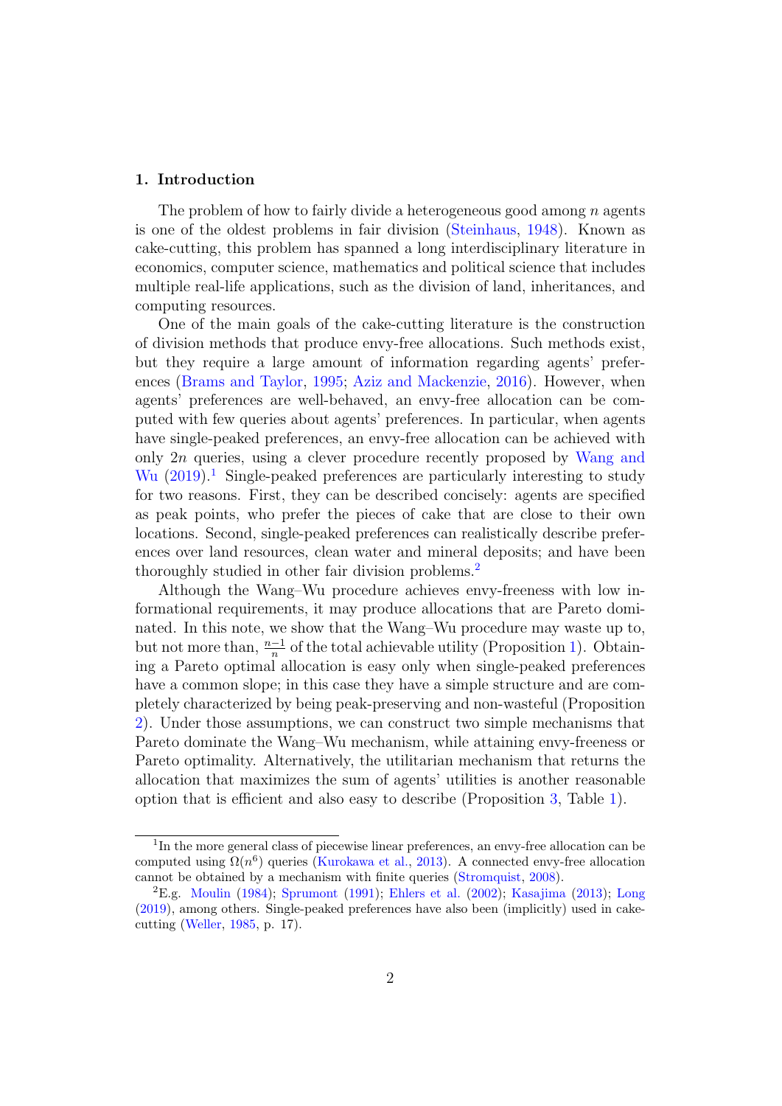### 1. Introduction

The problem of how to fairly divide a heterogeneous good among  $n$  agents is one of the oldest problems in fair division [\(Steinhaus,](#page-12-1) [1948\)](#page-12-1). Known as cake-cutting, this problem has spanned a long interdisciplinary literature in economics, computer science, mathematics and political science that includes multiple real-life applications, such as the division of land, inheritances, and computing resources.

One of the main goals of the cake-cutting literature is the construction of division methods that produce envy-free allocations. Such methods exist, but they require a large amount of information regarding agents' preferences [\(Brams and Taylor,](#page-11-0) [1995;](#page-11-0) [Aziz and Mackenzie,](#page-11-1) [2016\)](#page-11-1). However, when agents' preferences are well-behaved, an envy-free allocation can be computed with few queries about agents' preferences. In particular, when agents have single-peaked preferences, an envy-free allocation can be achieved with only 2n queries, using a clever procedure recently proposed by [Wang and](#page-12-0) [Wu](#page-12-0)  $(2019).$  $(2019).$ <sup>[1](#page-2-0)</sup> Single-peaked preferences are particularly interesting to study for two reasons. First, they can be described concisely: agents are specified as peak points, who prefer the pieces of cake that are close to their own locations. Second, single-peaked preferences can realistically describe preferences over land resources, clean water and mineral deposits; and have been thoroughly studied in other fair division problems.[2](#page-2-1)

Although the Wang–Wu procedure achieves envy-freeness with low informational requirements, it may produce allocations that are Pareto dominated. In this note, we show that the Wang–Wu procedure may waste up to, but not more than,  $\frac{n-1}{n}$  of the total achievable utility (Proposition [1\)](#page-5-0). Obtaining a Pareto optimal allocation is easy only when single-peaked preferences have a common slope; in this case they have a simple structure and are completely characterized by being peak-preserving and non-wasteful (Proposition [2\)](#page-6-0). Under those assumptions, we can construct two simple mechanisms that Pareto dominate the Wang–Wu mechanism, while attaining envy-freeness or Pareto optimality. Alternatively, the utilitarian mechanism that returns the allocation that maximizes the sum of agents' utilities is another reasonable option that is efficient and also easy to describe (Proposition [3,](#page-9-0) Table [1\)](#page-9-1).

<span id="page-2-0"></span><sup>&</sup>lt;sup>1</sup>In the more general class of piecewise linear preferences, an envy-free allocation can be computed using  $\Omega(n^6)$  queries [\(Kurokawa et al.,](#page-11-2) [2013\)](#page-11-2). A connected envy-free allocation cannot be obtained by a mechanism with finite queries [\(Stromquist,](#page-12-2) [2008\)](#page-12-2).

<span id="page-2-1"></span><sup>2</sup>E.g. [Moulin](#page-11-3) [\(1984\)](#page-11-3); [Sprumont](#page-12-3) [\(1991\)](#page-12-3); [Ehlers et al.](#page-11-4) [\(2002\)](#page-11-4); [Kasajima](#page-11-5) [\(2013\)](#page-11-5); [Long](#page-11-6) [\(2019\)](#page-11-6), among others. Single-peaked preferences have also been (implicitly) used in cakecutting [\(Weller,](#page-12-4) [1985,](#page-12-4) p. 17).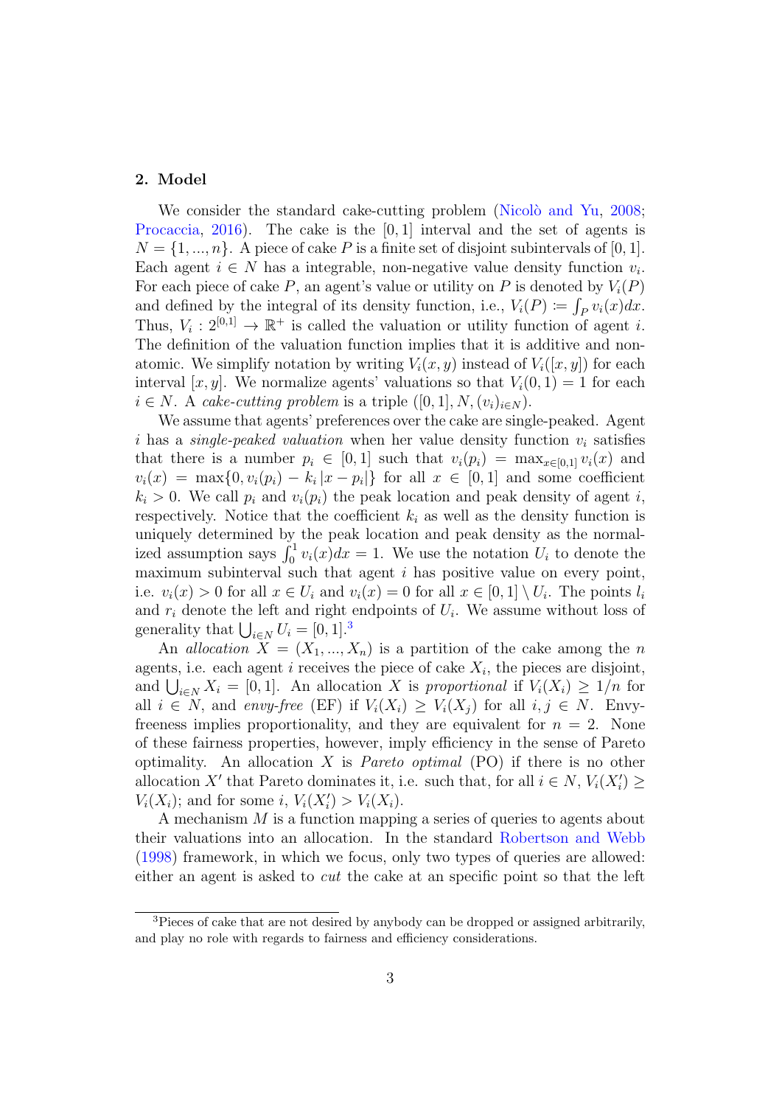### 2. Model

We consider the standard cake-cutting problem (Nicolò and Yu, [2008;](#page-11-7) [Procaccia,](#page-12-5) [2016\)](#page-12-5). The cake is the  $[0, 1]$  interval and the set of agents is  $N = \{1, ..., n\}$ . A piece of cake P is a finite set of disjoint subintervals of [0, 1]. Each agent  $i \in N$  has a integrable, non-negative value density function  $v_i$ . For each piece of cake P, an agent's value or utility on P is denoted by  $V_i(P)$ and defined by the integral of its density function, i.e.,  $V_i(P) \coloneqq \int_P v_i(x) dx$ . Thus,  $V_i: 2^{[0,1]} \to \mathbb{R}^+$  is called the valuation or utility function of agent *i*. The definition of the valuation function implies that it is additive and nonatomic. We simplify notation by writing  $V_i(x, y)$  instead of  $V_i([x, y])$  for each interval  $[x, y]$ . We normalize agents' valuations so that  $V_i(0, 1) = 1$  for each  $i \in N$ . A cake-cutting problem is a triple  $([0, 1], N, (v_i)_{i \in N})$ .

We assume that agents' preferences over the cake are single-peaked. Agent i has a *single-peaked valuation* when her value density function  $v_i$  satisfies that there is a number  $p_i \in [0,1]$  such that  $v_i(p_i) = \max_{x \in [0,1]} v_i(x)$  and  $v_i(x) = \max\{0, v_i(p_i) - k_i |x - p_i|\}$  for all  $x \in [0, 1]$  and some coefficient  $k_i > 0$ . We call  $p_i$  and  $v_i(p_i)$  the peak location and peak density of agent i, respectively. Notice that the coefficient  $k_i$  as well as the density function is uniquely determined by the peak location and peak density as the normalized assumption says  $\int_0^1 v_i(x)dx = 1$ . We use the notation  $U_i$  to denote the maximum subinterval such that agent  $i$  has positive value on every point, i.e.  $v_i(x) > 0$  for all  $x \in U_i$  and  $v_i(x) = 0$  for all  $x \in [0,1] \setminus U_i$ . The points  $l_i$ and  $r_i$  denote the left and right endpoints of  $U_i$ . We assume without loss of generality that  $\bigcup_{i \in N} U_i = [0, 1]$ .<sup>[3](#page-3-0)</sup>

An allocation  $X = (X_1, ..., X_n)$  is a partition of the cake among the n agents, i.e. each agent i receives the piece of cake  $X_i$ , the pieces are disjoint, and  $\bigcup_{i\in N} X_i = [0,1]$ . An allocation X is proportional if  $V_i(X_i) \geq 1/n$  for all  $i \in N$ , and envy-free (EF) if  $V_i(X_i) \geq V_i(X_i)$  for all  $i, j \in N$ . Envyfreeness implies proportionality, and they are equivalent for  $n = 2$ . None of these fairness properties, however, imply efficiency in the sense of Pareto optimality. An allocation X is *Pareto optimal* (PO) if there is no other allocation X' that Pareto dominates it, i.e. such that, for all  $i \in N$ ,  $V_i(X'_i) \geq$  $V_i(X_i)$ ; and for some i,  $V_i(X_i') > V_i(X_i)$ .

A mechanism M is a function mapping a series of queries to agents about their valuations into an allocation. In the standard [Robertson and Webb](#page-12-6) [\(1998\)](#page-12-6) framework, in which we focus, only two types of queries are allowed: either an agent is asked to cut the cake at an specific point so that the left

<span id="page-3-0"></span><sup>&</sup>lt;sup>3</sup>Pieces of cake that are not desired by anybody can be dropped or assigned arbitrarily, and play no role with regards to fairness and efficiency considerations.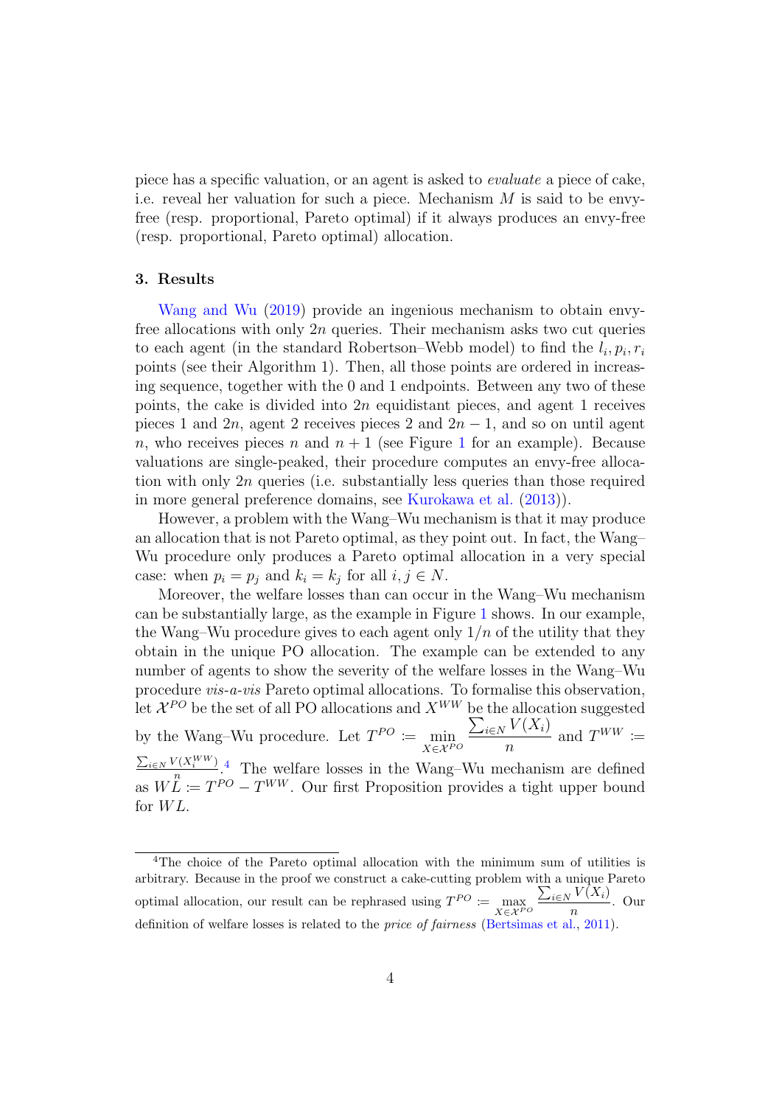piece has a specific valuation, or an agent is asked to evaluate a piece of cake, i.e. reveal her valuation for such a piece. Mechanism  $M$  is said to be envyfree (resp. proportional, Pareto optimal) if it always produces an envy-free (resp. proportional, Pareto optimal) allocation.

#### 3. Results

[Wang and Wu](#page-12-0) [\(2019\)](#page-12-0) provide an ingenious mechanism to obtain envyfree allocations with only  $2n$  queries. Their mechanism asks two cut queries to each agent (in the standard Robertson–Webb model) to find the  $l_i, p_i, r_i$ points (see their Algorithm 1). Then, all those points are ordered in increasing sequence, together with the 0 and 1 endpoints. Between any two of these points, the cake is divided into  $2n$  equidistant pieces, and agent 1 receives pieces 1 and 2n, agent 2 receives pieces 2 and  $2n - 1$ , and so on until agent n, who receives pieces n and  $n + 1$  $n + 1$  (see Figure 1 for an example). Because valuations are single-peaked, their procedure computes an envy-free allocation with only 2n queries (i.e. substantially less queries than those required in more general preference domains, see [Kurokawa et al.](#page-11-2) [\(2013\)](#page-11-2)).

However, a problem with the Wang–Wu mechanism is that it may produce an allocation that is not Pareto optimal, as they point out. In fact, the Wang– Wu procedure only produces a Pareto optimal allocation in a very special case: when  $p_i = p_j$  and  $k_i = k_j$  for all  $i, j \in N$ .

Moreover, the welfare losses than can occur in the Wang–Wu mechanism can be substantially large, as the example in Figure [1](#page-5-1) shows. In our example, the Wang–Wu procedure gives to each agent only  $1/n$  of the utility that they obtain in the unique PO allocation. The example can be extended to any number of agents to show the severity of the welfare losses in the Wang–Wu procedure vis-a-vis Pareto optimal allocations. To formalise this observation, let  $\mathcal{X}^{PO}$  be the set of all PO allocations and  $X^{WW}$  be the allocation suggested by the Wang–Wu procedure. Let  $T^{PO} := \min_{X \in \mathcal{X}^{PO}}$  $\sum_{i\in N} V(X_i)$ n and  $T^{WW} \coloneqq$  $\sum_{i\in N} V(X_i^{WW})$  $\frac{m}{n}$ <sup>( $\frac{X_i^{(K_i, H_i)}}{n}$ ,<sup>[4](#page-4-0)</sup>). The welfare losses in the Wang–Wu mechanism are defined</sup> as  $W\ddot{L} := T^{PO} - T^{WW}$ . Our first Proposition provides a tight upper bound for  $WL$ .

<span id="page-4-0"></span><sup>&</sup>lt;sup>4</sup>The choice of the Pareto optimal allocation with the minimum sum of utilities is arbitrary. Because in the proof we construct a cake-cutting problem with a unique Pareto optimal allocation, our result can be rephrased using  $T^{PO} := \max_{X \in \mathcal{X}^{PO}}$  $\sum_{i\in N} V(X_i)$  $\frac{n}{n}$ . Our definition of welfare losses is related to the *price of fairness* [\(Bertsimas et al.,](#page-11-8) [2011\)](#page-11-8).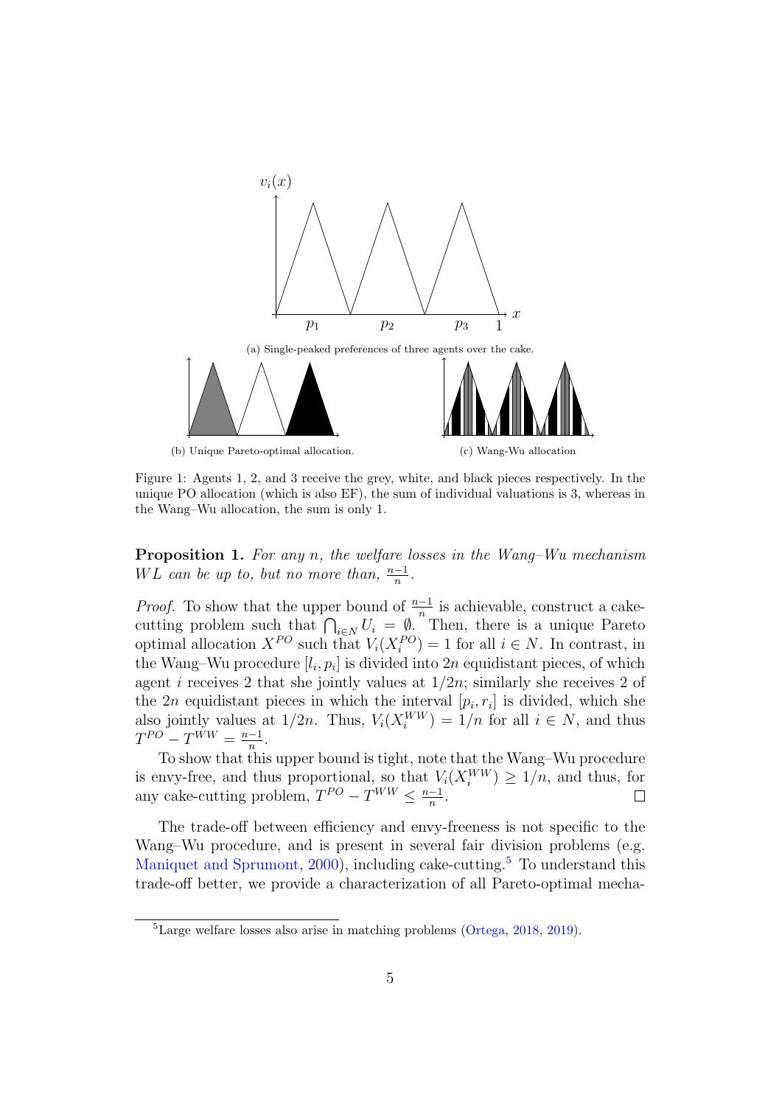<span id="page-5-1"></span>

Figure 1: Agents 1, 2, and 3 receive the grey, white, and black pieces respectively. In the unique PO allocation (which is also EF), the sum of individual valuations is 3, whereas in the Wang–Wu allocation, the sum is only 1.

<span id="page-5-0"></span>**Proposition 1.** For any n, the welfare losses in the Wang–Wu mechanism WL can be up to, but no more than,  $\frac{n-1}{n}$ .

*Proof.* To show that the upper bound of  $\frac{n-1}{n}$  is achievable, construct a cakecutting problem such that  $\bigcap_{i\in N} U_i = \emptyset$ . Then, there is a unique Pareto optimal allocation  $X^{PO}$  such that  $V_i(X_i^{PO}) = 1$  for all  $i \in N$ . In contrast, in the Wang–Wu procedure  $[l_i, p_i]$  is divided into  $2n$  equidistant pieces, of which agent i receives 2 that she jointly values at  $1/2n$ ; similarly she receives 2 of the 2*n* equidistant pieces in which the interval  $[p_i, r_i]$  is divided, which she also jointly values at  $1/2n$ . Thus,  $V_i(X_i^{WW}) = 1/n$  for all  $i \in N$ , and thus  $T^{PO} - T^{WW} = \frac{n-1}{n}$  $\frac{-1}{n}$ .

To show that this upper bound is tight, note that the Wang–Wu procedure is envy-free, and thus proportional, so that  $V_i(X_i^{WW}) \geq 1/n$ , and thus, for any cake-cutting problem,  $T^{PO} - T^{WW} \leq \frac{n-1}{n}$  $\frac{-1}{n}$ .

The trade-off between efficiency and envy-freeness is not specific to the Wang–Wu procedure, and is present in several fair division problems (e.g. [Maniquet and Sprumont,](#page-11-9) [2000\)](#page-11-9), including cake-cutting.<sup>[5](#page-5-2)</sup> To understand this trade-off better, we provide a characterization of all Pareto-optimal mecha-

<span id="page-5-2"></span><sup>5</sup>Large welfare losses also arise in matching problems [\(Ortega,](#page-11-10) [2018,](#page-11-10) [2019\)](#page-12-7).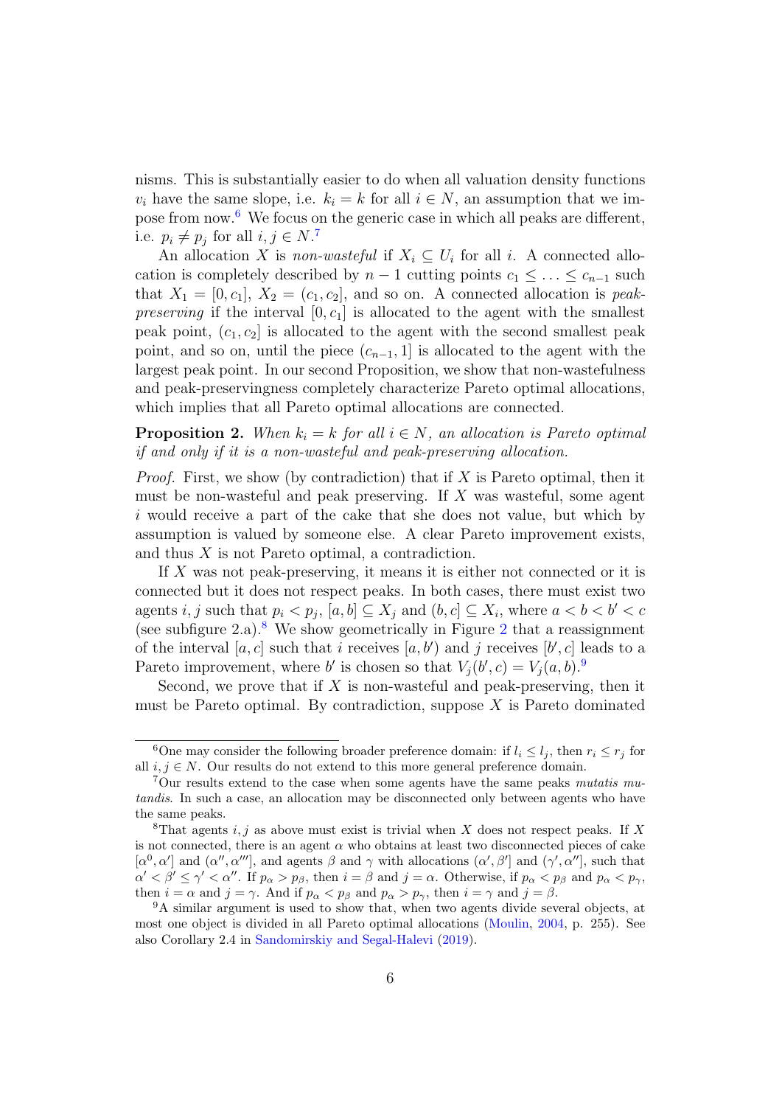nisms. This is substantially easier to do when all valuation density functions  $v_i$  have the same slope, i.e.  $k_i = k$  for all  $i \in N$ , an assumption that we impose from now.[6](#page-6-1) We focus on the generic case in which all peaks are different, i.e.  $p_i \neq p_j$  for all  $i, j \in N$ .<sup>[7](#page-6-2)</sup>

An allocation X is *non-wasteful* if  $X_i \subseteq U_i$  for all i. A connected allocation is completely described by  $n-1$  cutting points  $c_1 \leq \ldots \leq c_{n-1}$  such that  $X_1 = [0, c_1], X_2 = (c_1, c_2],$  and so on. A connected allocation is peak*preserving* if the interval  $[0, c_1]$  is allocated to the agent with the smallest peak point,  $(c_1, c_2]$  is allocated to the agent with the second smallest peak point, and so on, until the piece  $(c_{n-1}, 1]$  is allocated to the agent with the largest peak point. In our second Proposition, we show that non-wastefulness and peak-preservingness completely characterize Pareto optimal allocations, which implies that all Pareto optimal allocations are connected.

<span id="page-6-0"></span>**Proposition 2.** When  $k_i = k$  for all  $i \in N$ , an allocation is Pareto optimal if and only if it is a non-wasteful and peak-preserving allocation.

*Proof.* First, we show (by contradiction) that if X is Pareto optimal, then it must be non-wasteful and peak preserving. If X was wasteful, some agent i would receive a part of the cake that she does not value, but which by assumption is valued by someone else. A clear Pareto improvement exists, and thus X is not Pareto optimal, a contradiction.

If X was not peak-preserving, it means it is either not connected or it is connected but it does not respect peaks. In both cases, there must exist two agents *i*, *j* such that  $p_i < p_j$ ,  $[a, b] \subseteq X_j$  and  $(b, c] \subseteq X_i$ , where  $a < b < b' < c$ (see subfigure  $2.a$  $2.a$ ).<sup>[8](#page-6-3)</sup> We show geometrically in Figure  $2$  that a reassignment of the interval  $[a, c]$  such that i receives  $[a, b')$  and j receives  $[b', c]$  leads to a Pareto improvement, where b' is chosen so that  $V_j(b', c) = V_j(a, b)$ .

Second, we prove that if  $X$  is non-wasteful and peak-preserving, then it must be Pareto optimal. By contradiction, suppose  $X$  is Pareto dominated

<span id="page-6-1"></span><sup>&</sup>lt;sup>6</sup>One may consider the following broader preference domain: if  $l_i \leq l_j$ , then  $r_i \leq r_j$  for all  $i, j \in N$ . Our results do not extend to this more general preference domain.

<span id="page-6-2"></span> $7$ Our results extend to the case when some agents have the same peaks mutatis mutandis. In such a case, an allocation may be disconnected only between agents who have the same peaks.

<span id="page-6-3"></span><sup>&</sup>lt;sup>8</sup>That agents i, j as above must exist is trivial when X does not respect peaks. If X is not connected, there is an agent  $\alpha$  who obtains at least two disconnected pieces of cake  $[\alpha^0, \alpha']$  and  $(\alpha'', \alpha''']$ , and agents  $\beta$  and  $\gamma$  with allocations  $(\alpha', \beta']$  and  $(\gamma', \alpha'']$ , such that  $\alpha' < \beta' \leq \gamma' < \alpha''$ . If  $p_{\alpha} > p_{\beta}$ , then  $i = \beta$  and  $j = \alpha$ . Otherwise, if  $p_{\alpha} < p_{\beta}$  and  $p_{\alpha} < p_{\gamma}$ , then  $i = \alpha$  and  $j = \gamma$ . And if  $p_{\alpha} < p_{\beta}$  and  $p_{\alpha} > p_{\gamma}$ , then  $i = \gamma$  and  $j = \beta$ .

<span id="page-6-4"></span><sup>9</sup>A similar argument is used to show that, when two agents divide several objects, at most one object is divided in all Pareto optimal allocations [\(Moulin,](#page-11-11) [2004,](#page-11-11) p. 255). See also Corollary 2.4 in [Sandomirskiy and Segal-Halevi](#page-12-8) [\(2019\)](#page-12-8).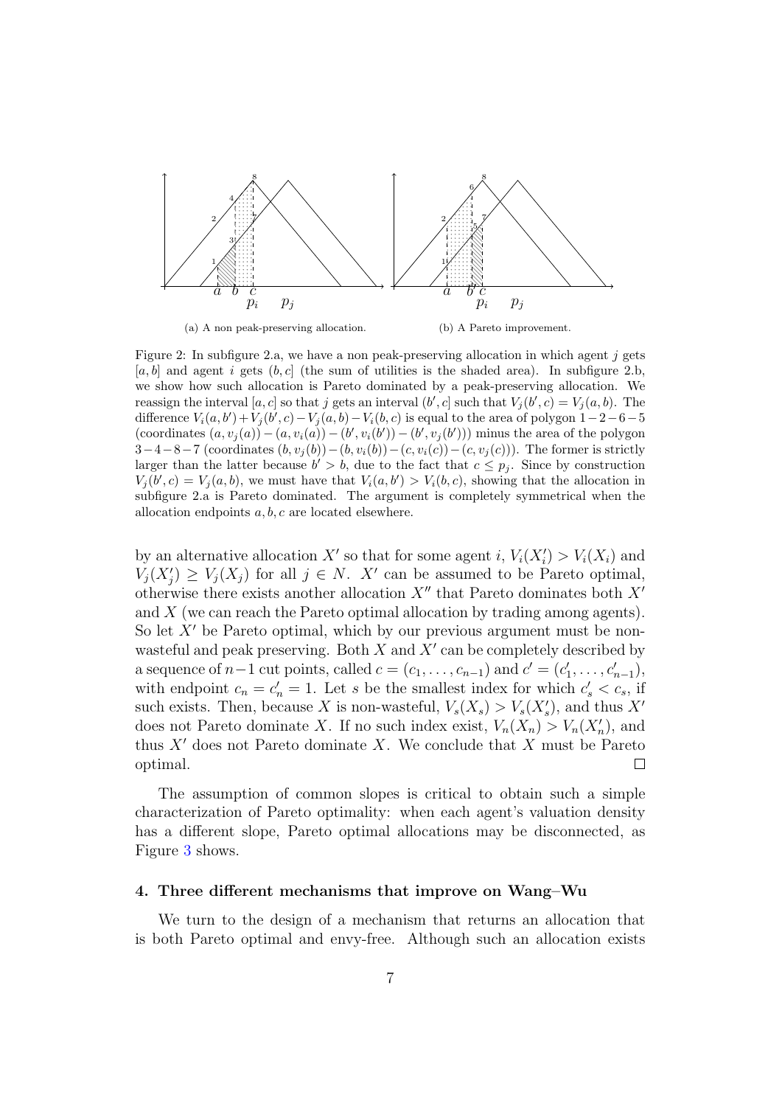<span id="page-7-0"></span>

(a) A non peak-preserving allocation. (b) A Pareto improvement.

Figure 2: In subfigure 2.a, we have a non peak-preserving allocation in which agent  $j$  gets  $[a, b]$  and agent i gets  $(b, c]$  (the sum of utilities is the shaded area). In subfigure 2.b, we show how such allocation is Pareto dominated by a peak-preserving allocation. We reassign the interval [a, c] so that j gets an interval  $(b', c]$  such that  $V_j(b', c) = V_j(a, b)$ . The difference  $V_i(a, b') + V_j(b', c) - V_j(a, b) - V_i(b, c)$  is equal to the area of polygon 1-2-6-5 (coordinates  $(a, v_j(a)) - (a, v_i(a)) - (b', v_i(b')) - (b', v_j(b'))$  minus the area of the polygon  $3-4-8-7$  (coordinates  $(b, v_j(b))-(b, v_i(b))-(c, v_i(c))-(c, v_j(c))$ ). The former is strictly larger than the latter because  $b' > b$ , due to the fact that  $c \leq p_j$ . Since by construction  $V_j(b',c) = V_j(a,b)$ , we must have that  $V_i(a,b') > V_i(b,c)$ , showing that the allocation in subfigure 2.a is Pareto dominated. The argument is completely symmetrical when the allocation endpoints a, b, c are located elsewhere.

by an alternative allocation X' so that for some agent i,  $V_i(X'_i) > V_i(X_i)$  and  $V_j(X'_j) \geq V_j(X_j)$  for all  $j \in N$ . X' can be assumed to be Pareto optimal, otherwise there exists another allocation  $X''$  that Pareto dominates both  $X'$ and X (we can reach the Pareto optimal allocation by trading among agents). So let  $X'$  be Pareto optimal, which by our previous argument must be nonwasteful and peak preserving. Both  $X$  and  $X'$  can be completely described by a sequence of  $n-1$  cut points, called  $c = (c_1, \ldots, c_{n-1})$  and  $c' = (c'_1, \ldots, c'_{n-1}),$ with endpoint  $c_n = c'_n = 1$ . Let s be the smallest index for which  $c'_s < c_s$ , if such exists. Then, because X is non-wasteful,  $V_s(X_s) > V_s(X'_s)$ , and thus X' does not Pareto dominate X. If no such index exist,  $V_n(X_n) > V_n(X'_n)$ , and thus  $X'$  does not Pareto dominate X. We conclude that X must be Pareto optimal.  $\Box$ 

The assumption of common slopes is critical to obtain such a simple characterization of Pareto optimality: when each agent's valuation density has a different slope, Pareto optimal allocations may be disconnected, as Figure [3](#page-8-0) shows.

#### 4. Three different mechanisms that improve on Wang–Wu

We turn to the design of a mechanism that returns an allocation that is both Pareto optimal and envy-free. Although such an allocation exists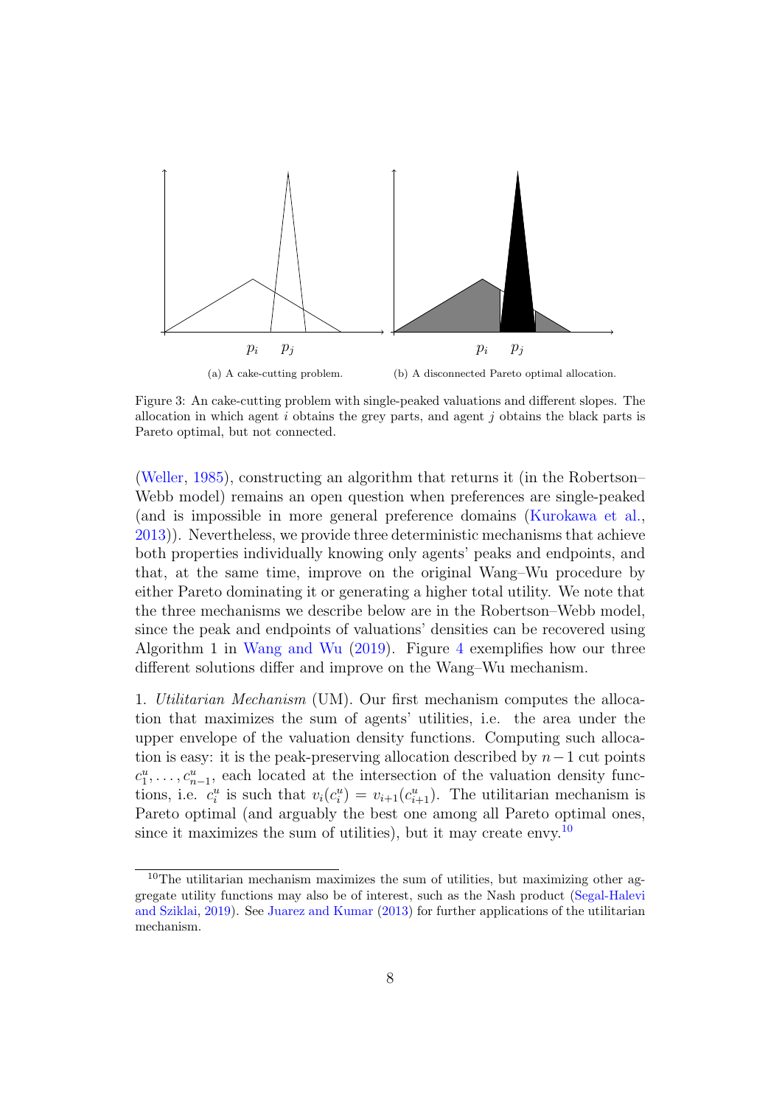<span id="page-8-0"></span>

Figure 3: An cake-cutting problem with single-peaked valuations and different slopes. The allocation in which agent i obtains the grey parts, and agent j obtains the black parts is Pareto optimal, but not connected.

[\(Weller,](#page-12-4) [1985\)](#page-12-4), constructing an algorithm that returns it (in the Robertson– Webb model) remains an open question when preferences are single-peaked (and is impossible in more general preference domains [\(Kurokawa et al.,](#page-11-2) [2013\)](#page-11-2)). Nevertheless, we provide three deterministic mechanisms that achieve both properties individually knowing only agents' peaks and endpoints, and that, at the same time, improve on the original Wang–Wu procedure by either Pareto dominating it or generating a higher total utility. We note that the three mechanisms we describe below are in the Robertson–Webb model, since the peak and endpoints of valuations' densities can be recovered using Algorithm 1 in [Wang and Wu](#page-12-0) [\(2019\)](#page-12-0). Figure [4](#page-10-0) exemplifies how our three different solutions differ and improve on the Wang–Wu mechanism.

1. Utilitarian Mechanism (UM). Our first mechanism computes the allocation that maximizes the sum of agents' utilities, i.e. the area under the upper envelope of the valuation density functions. Computing such allocation is easy: it is the peak-preserving allocation described by  $n-1$  cut points  $c_1^u, \ldots, c_{n-1}^u$ , each located at the intersection of the valuation density functions, i.e.  $c_i^u$  is such that  $v_i(c_i^u) = v_{i+1}(c_{i+1}^u)$ . The utilitarian mechanism is Pareto optimal (and arguably the best one among all Pareto optimal ones, since it maximizes the sum of utilities), but it may create envy.<sup>[10](#page-8-1)</sup>

<span id="page-8-1"></span><sup>10</sup>The utilitarian mechanism maximizes the sum of utilities, but maximizing other aggregate utility functions may also be of interest, such as the Nash product [\(Segal-Halevi](#page-12-9) [and Sziklai,](#page-12-9) [2019\)](#page-12-9). See [Juarez and Kumar](#page-11-12) [\(2013\)](#page-11-12) for further applications of the utilitarian mechanism.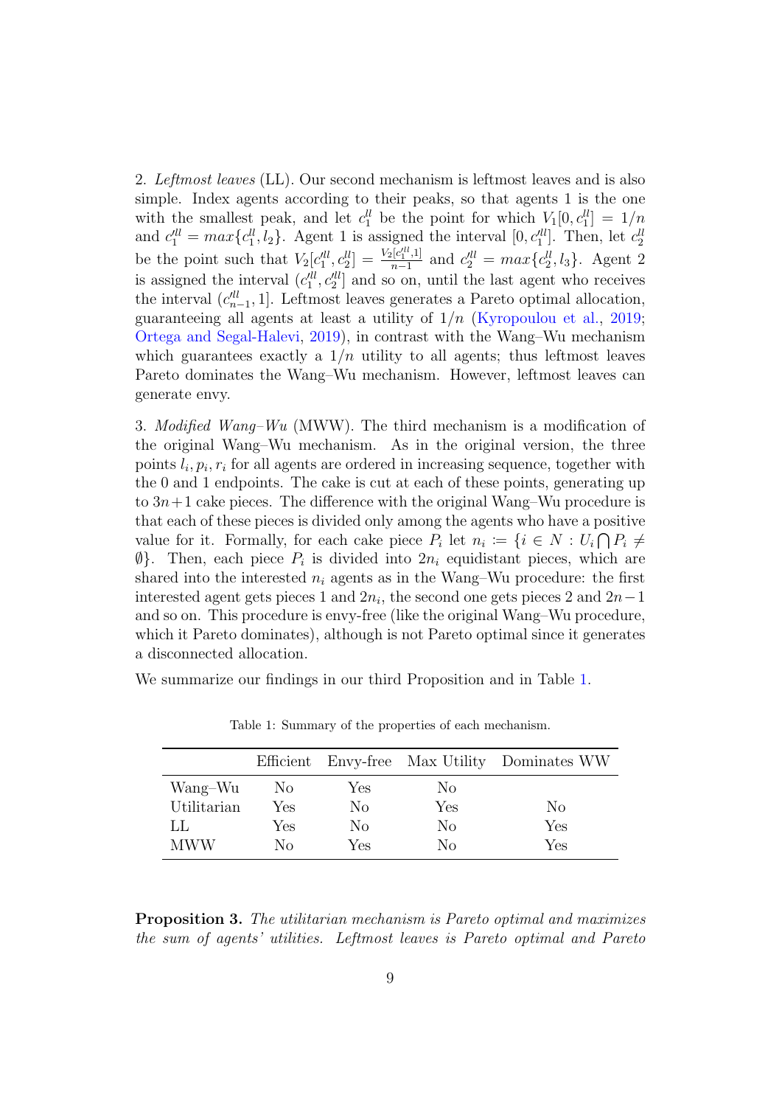2. Leftmost leaves (LL). Our second mechanism is leftmost leaves and is also simple. Index agents according to their peaks, so that agents 1 is the one with the smallest peak, and let  $c_1^{\ell l}$  be the point for which  $V_1[0, c_1^{\ell l}] = 1/n$ and  $c_1^{\prime \prime \prime} = max\{c_1^{\prime \prime}, l_2\}$ . Agent 1 is assigned the interval  $[0, c_1^{\prime \prime \prime}]$ . Then, let  $c_2^{\prime \prime \prime}$ be the point such that  $V_2[c_1^{ll}, c_2^{ll}] = \frac{V_2[c_1^{ll}, 1]}{n-1}$  $\frac{a_1[c_1^{a_1},1]}{n-1}$  and  $c_2^{ll} = max\{c_2^{ll}, l_3\}$ . Agent 2 is assigned the interval  $(c_1^{\prime ll}, c_2^{\prime ll}]$  and so on, until the last agent who receives the interval  $(c_{n-1}^{ll}, 1]$ . Leftmost leaves generates a Pareto optimal allocation, guaranteeing all agents at least a utility of  $1/n$  [\(Kyropoulou et al.,](#page-11-13) [2019;](#page-11-13) [Ortega and Segal-Halevi,](#page-12-10) [2019\)](#page-12-10), in contrast with the Wang–Wu mechanism which guarantees exactly a  $1/n$  utility to all agents; thus leftmost leaves Pareto dominates the Wang–Wu mechanism. However, leftmost leaves can generate envy.

3. Modified Wang–Wu (MWW). The third mechanism is a modification of the original Wang–Wu mechanism. As in the original version, the three points  $l_i, p_i, r_i$  for all agents are ordered in increasing sequence, together with the 0 and 1 endpoints. The cake is cut at each of these points, generating up to  $3n+1$  cake pieces. The difference with the original Wang–Wu procedure is that each of these pieces is divided only among the agents who have a positive value for it. Formally, for each cake piece  $P_i$  let  $n_i := \{i \in N : U_i \cap P_i \neq \emptyset\}$  $\emptyset$ . Then, each piece  $P_i$  is divided into  $2n_i$  equidistant pieces, which are shared into the interested  $n_i$  agents as in the Wang–Wu procedure: the first interested agent gets pieces 1 and  $2n_i$ , the second one gets pieces 2 and  $2n-1$ and so on. This procedure is envy-free (like the original Wang–Wu procedure, which it Pareto dominates), although is not Pareto optimal since it generates a disconnected allocation.

<span id="page-9-1"></span>We summarize our findings in our third Proposition and in Table [1.](#page-9-1)

|             |                |     |     | Efficient Envy-free Max Utility Dominates WW |
|-------------|----------------|-----|-----|----------------------------------------------|
| Wang-Wu     | N <sub>0</sub> | Yes | No. |                                              |
| Utilitarian | Yes            | No  | Yes | No                                           |
| IJ          | Yes            | No  | No  | Yes                                          |
| <b>MWW</b>  | Nο             | Yes | Nο  | Yes                                          |

Table 1: Summary of the properties of each mechanism.

<span id="page-9-0"></span>Proposition 3. The utilitarian mechanism is Pareto optimal and maximizes the sum of agents' utilities. Leftmost leaves is Pareto optimal and Pareto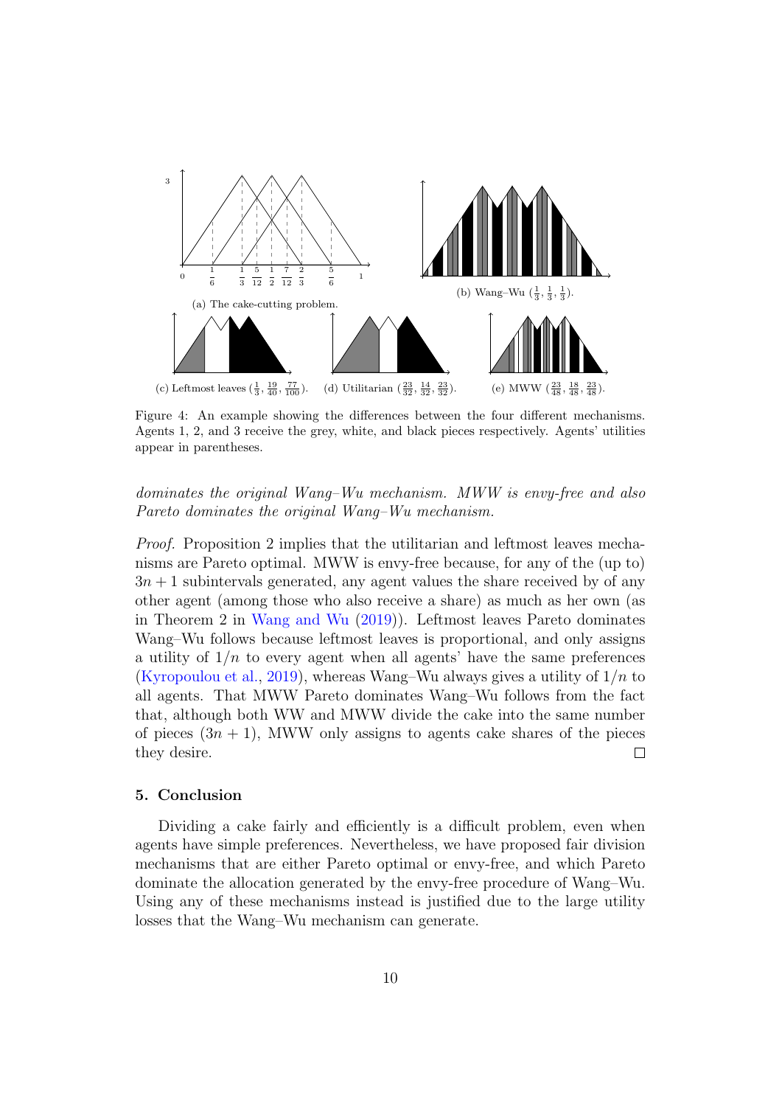<span id="page-10-0"></span>

Figure 4: An example showing the differences between the four different mechanisms. Agents 1, 2, and 3 receive the grey, white, and black pieces respectively. Agents' utilities appear in parentheses.

## dominates the original Wang–Wu mechanism. MWW is envy-free and also Pareto dominates the original Wang–Wu mechanism.

Proof. Proposition 2 implies that the utilitarian and leftmost leaves mechanisms are Pareto optimal. MWW is envy-free because, for any of the (up to)  $3n + 1$  subintervals generated, any agent values the share received by of any other agent (among those who also receive a share) as much as her own (as in Theorem 2 in [Wang and Wu](#page-12-0) [\(2019\)](#page-12-0)). Leftmost leaves Pareto dominates Wang–Wu follows because leftmost leaves is proportional, and only assigns a utility of  $1/n$  to every agent when all agents' have the same preferences [\(Kyropoulou et al.,](#page-11-13) [2019\)](#page-11-13), whereas Wang–Wu always gives a utility of  $1/n$  to all agents. That MWW Pareto dominates Wang–Wu follows from the fact that, although both WW and MWW divide the cake into the same number of pieces  $(3n + 1)$ , MWW only assigns to agents cake shares of the pieces they desire.  $\Box$ 

#### 5. Conclusion

Dividing a cake fairly and efficiently is a difficult problem, even when agents have simple preferences. Nevertheless, we have proposed fair division mechanisms that are either Pareto optimal or envy-free, and which Pareto dominate the allocation generated by the envy-free procedure of Wang–Wu. Using any of these mechanisms instead is justified due to the large utility losses that the Wang–Wu mechanism can generate.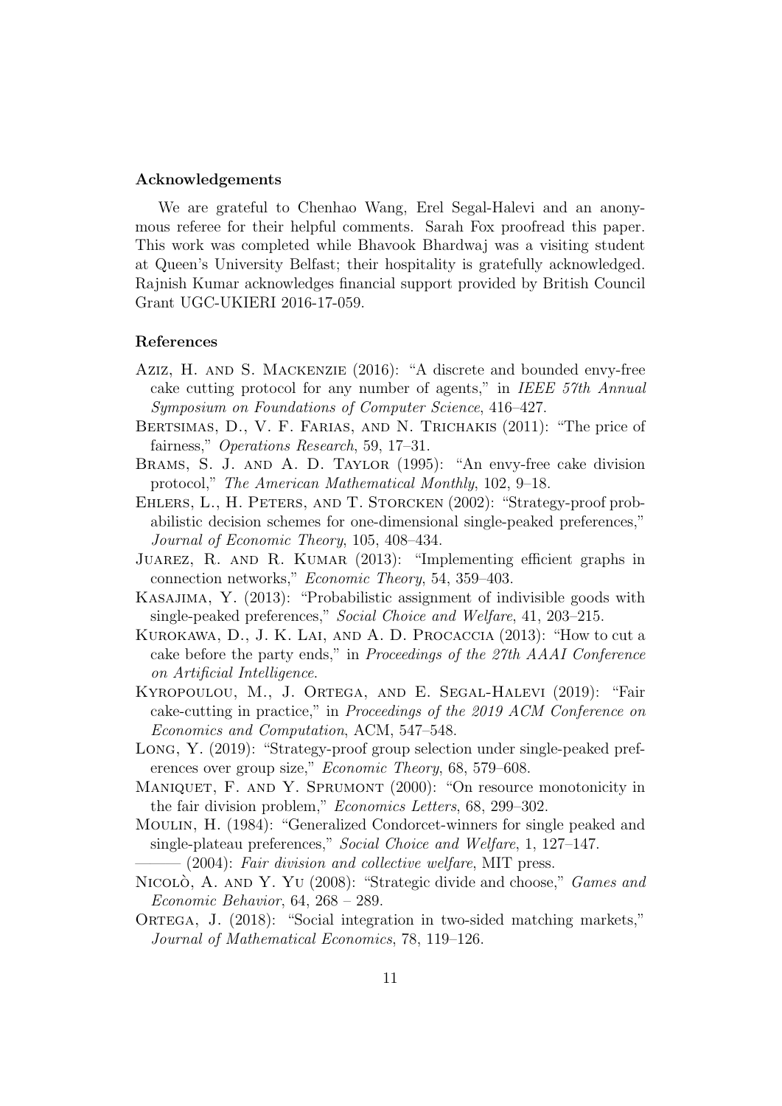### Acknowledgements

We are grateful to Chenhao Wang, Erel Segal-Halevi and an anonymous referee for their helpful comments. Sarah Fox proofread this paper. This work was completed while Bhavook Bhardwaj was a visiting student at Queen's University Belfast; their hospitality is gratefully acknowledged. Rajnish Kumar acknowledges financial support provided by British Council Grant UGC-UKIERI 2016-17-059.

### References

- <span id="page-11-1"></span>Aziz, H. and S. Mackenzie (2016): "A discrete and bounded envy-free cake cutting protocol for any number of agents," in IEEE 57th Annual Symposium on Foundations of Computer Science, 416–427.
- <span id="page-11-8"></span>BERTSIMAS, D., V. F. FARIAS, AND N. TRICHAKIS (2011): "The price of fairness," Operations Research, 59, 17–31.
- <span id="page-11-0"></span>BRAMS, S. J. AND A. D. TAYLOR (1995): "An envy-free cake division protocol," The American Mathematical Monthly, 102, 9–18.
- <span id="page-11-4"></span>Ehlers, L., H. Peters, and T. Storcken (2002): "Strategy-proof probabilistic decision schemes for one-dimensional single-peaked preferences," Journal of Economic Theory, 105, 408–434.
- <span id="page-11-12"></span>JUAREZ, R. AND R. KUMAR (2013): "Implementing efficient graphs in connection networks," Economic Theory, 54, 359–403.
- <span id="page-11-5"></span>Kasajima, Y. (2013): "Probabilistic assignment of indivisible goods with single-peaked preferences," Social Choice and Welfare, 41, 203–215.
- <span id="page-11-2"></span>Kurokawa, D., J. K. Lai, and A. D. Procaccia (2013): "How to cut a cake before the party ends," in Proceedings of the 27th AAAI Conference on Artificial Intelligence.
- <span id="page-11-13"></span>Kyropoulou, M., J. Ortega, and E. Segal-Halevi (2019): "Fair cake-cutting in practice," in Proceedings of the 2019 ACM Conference on Economics and Computation, ACM, 547–548.
- <span id="page-11-6"></span>Long, Y. (2019): "Strategy-proof group selection under single-peaked preferences over group size," Economic Theory, 68, 579–608.
- <span id="page-11-9"></span>MANIQUET, F. AND Y. SPRUMONT (2000): "On resource monotonicity in the fair division problem," Economics Letters, 68, 299–302.
- <span id="page-11-3"></span>Moulin, H. (1984): "Generalized Condorcet-winners for single peaked and single-plateau preferences," Social Choice and Welfare, 1, 127–147.
	- $-$  (2004): Fair division and collective welfare, MIT press.
- <span id="page-11-11"></span><span id="page-11-7"></span>NICOLÒ, A. AND Y. YU (2008): "Strategic divide and choose," Games and Economic Behavior, 64, 268 – 289.
- <span id="page-11-10"></span>ORTEGA, J. (2018): "Social integration in two-sided matching markets," Journal of Mathematical Economics, 78, 119–126.